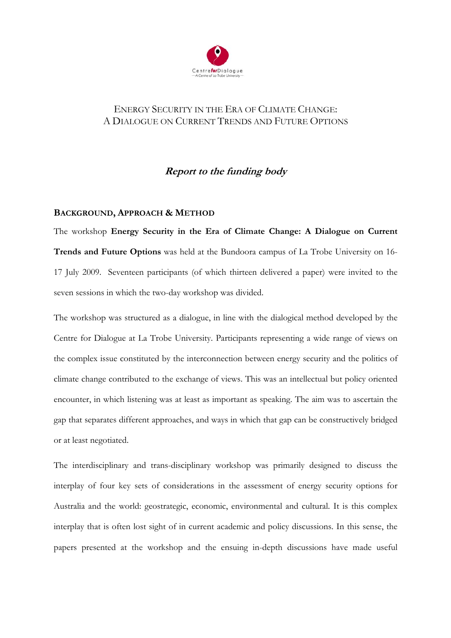

# ENERGY SECURITY IN THE ERA OF CLIMATE CHANGE: A DIALOGUE ON CURRENT TRENDS AND FUTURE OPTIONS

# **Report to the funding body**

# **BACKGROUND, APPROACH & METHOD**

The workshop **Energy Security in the Era of Climate Change: A Dialogue on Current Trends and Future Options** was held at the Bundoora campus of La Trobe University on 16- 17 July 2009. Seventeen participants (of which thirteen delivered a paper) were invited to the seven sessions in which the two-day workshop was divided.

The workshop was structured as a dialogue, in line with the dialogical method developed by the Centre for Dialogue at La Trobe University. Participants representing a wide range of views on the complex issue constituted by the interconnection between energy security and the politics of climate change contributed to the exchange of views. This was an intellectual but policy oriented encounter, in which listening was at least as important as speaking. The aim was to ascertain the gap that separates different approaches, and ways in which that gap can be constructively bridged or at least negotiated.

The interdisciplinary and trans-disciplinary workshop was primarily designed to discuss the interplay of four key sets of considerations in the assessment of energy security options for Australia and the world: geostrategic, economic, environmental and cultural. It is this complex interplay that is often lost sight of in current academic and policy discussions. In this sense, the papers presented at the workshop and the ensuing in-depth discussions have made useful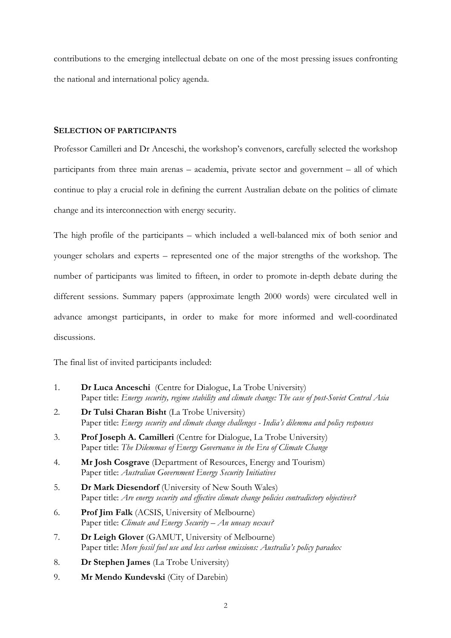contributions to the emerging intellectual debate on one of the most pressing issues confronting the national and international policy agenda.

### **SELECTION OF PARTICIPANTS**

Professor Camilleri and Dr Anceschi, the workshop's convenors, carefully selected the workshop participants from three main arenas – academia, private sector and government – all of which continue to play a crucial role in defining the current Australian debate on the politics of climate change and its interconnection with energy security.

The high profile of the participants – which included a well-balanced mix of both senior and younger scholars and experts – represented one of the major strengths of the workshop. The number of participants was limited to fifteen, in order to promote in-depth debate during the different sessions. Summary papers (approximate length 2000 words) were circulated well in advance amongst participants, in order to make for more informed and well-coordinated discussions.

The final list of invited participants included:

- 1. **Dr Luca Anceschi** (Centre for Dialogue, La Trobe University) Paper title: *Energy security, regime stability and climate change: The case of post-Soviet Central Asia*
- 2. **Dr Tulsi Charan Bisht** (La Trobe University) Paper title: *Energy security and climate change challenges - India's dilemma and policy responses*
- 3. **Prof Joseph A. Camilleri** (Centre for Dialogue, La Trobe University) Paper title: *The Dilemmas of Energy Governance in the Era of Climate Change*
- 4. **Mr Josh Cosgrave** (Department of Resources, Energy and Tourism) Paper title: *Australian Government Energy Security Initiatives*
- 5. **Dr Mark Diesendorf** (University of New South Wales) Paper title: *Are energy security and effective climate change policies contradictory objectives?*
- 6. **Prof Jim Falk** (ACSIS, University of Melbourne) Paper title: *Climate and Energy Security – An uneasy nexus?*
- 7. **Dr Leigh Glover** (GAMUT, University of Melbourne) Paper title: *More fossil fuel use and less carbon emissions: Australia's policy paradox*
- 8. **Dr Stephen James** (La Trobe University)
- 9. **Mr Mendo Kundevski** (City of Darebin)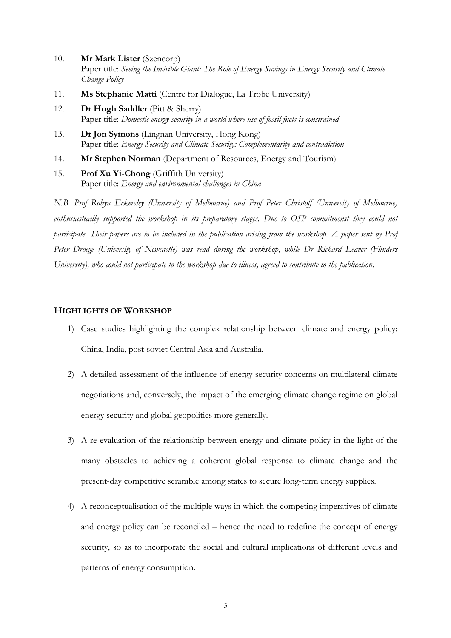- 10. **Mr Mark Lister** (Szencorp) Paper title: *Seeing the Invisible Giant: The Role of Energy Savings in Energy Security and Climate Change Policy*
- 11. **Ms Stephanie Matti** (Centre for Dialogue, La Trobe University)
- 12. **Dr Hugh Saddler** (Pitt & Sherry) Paper title: *Domestic energy security in a world where use of fossil fuels is constrained*
- 13. **Dr Jon Symons** (Lingnan University, Hong Kong) Paper title: *Energy Security and Climate Security: Complementarity and contradiction*
- 14. **Mr Stephen Norman** (Department of Resources, Energy and Tourism)

15. **Prof Xu Yi-Chong** (Griffith University) Paper title: *Energy and environmental challenges in China*

*N.B. Prof Robyn Eckersley (University of Melbourne) and Prof Peter Christoff (University of Melbourne) enthusiastically supported the workshop in its preparatory stages. Due to OSP commitmenst they could not participate. Their papers are to be included in the publication arising from the workshop. A paper sent by Prof Peter Droege (University of Newcastle) was read during the workshop, while Dr Richard Leaver (Flinders University), who could not participate to the workshop due to illness, agreed to contribute to the publication.* 

### **HIGHLIGHTS OF WORKSHOP**

- 1) Case studies highlighting the complex relationship between climate and energy policy: China, India, post-soviet Central Asia and Australia.
- 2) A detailed assessment of the influence of energy security concerns on multilateral climate negotiations and, conversely, the impact of the emerging climate change regime on global energy security and global geopolitics more generally.
- 3) A re-evaluation of the relationship between energy and climate policy in the light of the many obstacles to achieving a coherent global response to climate change and the present-day competitive scramble among states to secure long-term energy supplies.
- 4) A reconceptualisation of the multiple ways in which the competing imperatives of climate and energy policy can be reconciled – hence the need to redefine the concept of energy security, so as to incorporate the social and cultural implications of different levels and patterns of energy consumption.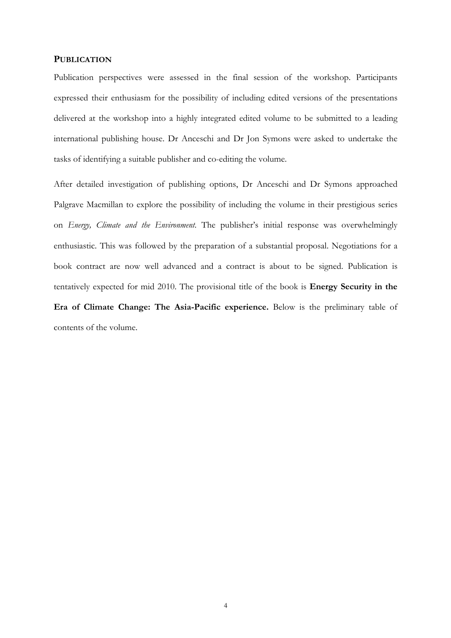#### **PUBLICATION**

Publication perspectives were assessed in the final session of the workshop. Participants expressed their enthusiasm for the possibility of including edited versions of the presentations delivered at the workshop into a highly integrated edited volume to be submitted to a leading international publishing house. Dr Anceschi and Dr Jon Symons were asked to undertake the tasks of identifying a suitable publisher and co-editing the volume.

After detailed investigation of publishing options, Dr Anceschi and Dr Symons approached Palgrave Macmillan to explore the possibility of including the volume in their prestigious series on *Energy, Climate and the Environment*. The publisher's initial response was overwhelmingly enthusiastic. This was followed by the preparation of a substantial proposal. Negotiations for a book contract are now well advanced and a contract is about to be signed. Publication is tentatively expected for mid 2010. The provisional title of the book is **Energy Security in the Era of Climate Change: The Asia-Pacific experience.** Below is the preliminary table of contents of the volume.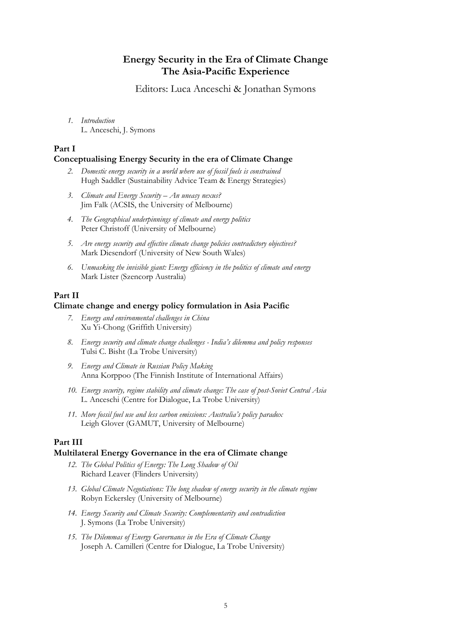# **Energy Security in the Era of Climate Change The Asia-Pacific Experience**

Editors: Luca Anceschi & Jonathan Symons

*1. Introduction*  L. Anceschi, J. Symons

## **Part I**

### **Conceptualising Energy Security in the era of Climate Change**

- *2. Domestic energy security in a world where use of fossil fuels is constrained* Hugh Saddler (Sustainability Advice Team & Energy Strategies)
- *3. Climate and Energy Security An uneasy nexus?* Jim Falk (ACSIS, the University of Melbourne)
- *4. The Geographical underpinnings of climate and energy politics* Peter Christoff (University of Melbourne)
- *5. Are energy security and effective climate change policies contradictory objectives?* Mark Diesendorf (University of New South Wales)
- *6. Unmasking the invisible giant: Energy efficiency in the politics of climate and energy*  Mark Lister (Szencorp Australia)

## **Part II**

#### **Climate change and energy policy formulation in Asia Pacific**

- *7. Energy and environmental challenges in China* Xu Yi-Chong (Griffith University)
- *8. Energy security and climate change challenges India's dilemma and policy responses* Tulsi C. Bisht (La Trobe University)
- *9. Energy and Climate in Russian Policy Making* Anna Korppoo (The Finnish Institute of International Affairs)
- *10. Energy security, regime stability and climate change: The case of post-Soviet Central Asia*  L. Anceschi (Centre for Dialogue, La Trobe University)
- *11. More fossil fuel use and less carbon emissions: Australia's policy paradox* Leigh Glover (GAMUT, University of Melbourne)

## **Part III**

#### **Multilateral Energy Governance in the era of Climate change**

- *12. The Global Politics of Energy: The Long Shadow of Oil* Richard Leaver (Flinders University)
- *13. Global Climate Negotiations: The long shadow of energy security in the climate regime*  Robyn Eckersley (University of Melbourne)
- *14. Energy Security and Climate Security: Complementarity and contradiction* J. Symons (La Trobe University)
- *15. The Dilemmas of Energy Governance in the Era of Climate Change* Joseph A. Camilleri (Centre for Dialogue, La Trobe University)